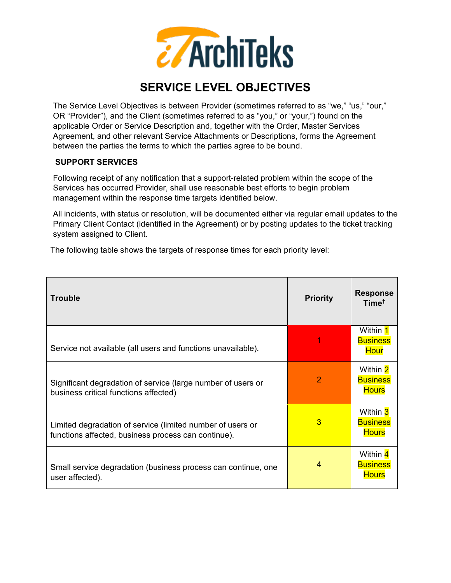

## **SERVICE LEVEL OBJECTIVES**

The Service Level Objectives is between Provider (sometimes referred to as "we," "us," "our," OR "Provider"), and the Client (sometimes referred to as "you," or "your,") found on the applicable Order or Service Description and, together with the Order, Master Services Agreement, and other relevant Service Attachments or Descriptions, forms the Agreement between the parties the terms to which the parties agree to be bound.

## **SUPPORT SERVICES**

Following receipt of any notification that a support-related problem within the scope of the Services has occurred Provider, shall use reasonable best efforts to begin problem management within the response time targets identified below.

All incidents, with status or resolution, will be documented either via regular email updates to the Primary Client Contact (identified in the Agreement) or by posting updates to the ticket tracking system assigned to Client.

The following table shows the targets of response times for each priority level:

| <b>Trouble</b>                                                                                                    | <b>Priority</b> | <b>Response</b><br>Time <sup>†</sup>        |
|-------------------------------------------------------------------------------------------------------------------|-----------------|---------------------------------------------|
| Service not available (all users and functions unavailable).                                                      |                 | Within 1<br><b>Business</b><br><b>Hour</b>  |
| Significant degradation of service (large number of users or<br>business critical functions affected)             | 2               | Within 2<br><b>Business</b><br><b>Hours</b> |
| Limited degradation of service (limited number of users or<br>functions affected, business process can continue). | 3               | Within 3<br><b>Business</b><br><b>Hours</b> |
| Small service degradation (business process can continue, one<br>user affected).                                  | 4               | Within 4<br><b>Business</b><br><b>Hours</b> |